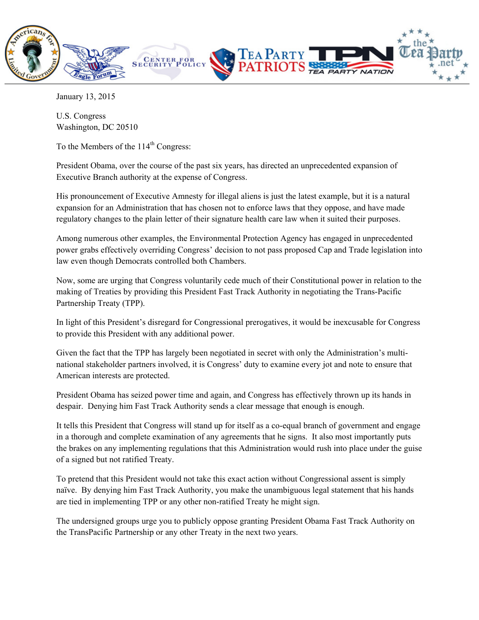

January 13, 2015

U.S. Congress Washington, DC 20510

To the Members of the  $114<sup>th</sup>$  Congress:

President Obama, over the course of the past six years, has directed an unprecedented expansion of Executive Branch authority at the expense of Congress.

His pronouncement of Executive Amnesty for illegal aliens is just the latest example, but it is a natural expansion for an Administration that has chosen not to enforce laws that they oppose, and have made regulatory changes to the plain letter of their signature health care law when it suited their purposes.

Among numerous other examples, the Environmental Protection Agency has engaged in unprecedented power grabs effectively overriding Congress' decision to not pass proposed Cap and Trade legislation into law even though Democrats controlled both Chambers.

Now, some are urging that Congress voluntarily cede much of their Constitutional power in relation to the making of Treaties by providing this President Fast Track Authority in negotiating the Trans-Pacific Partnership Treaty (TPP).

In light of this President's disregard for Congressional prerogatives, it would be inexcusable for Congress to provide this President with any additional power.

Given the fact that the TPP has largely been negotiated in secret with only the Administration's multinational stakeholder partners involved, it is Congress' duty to examine every jot and note to ensure that American interests are protected.

President Obama has seized power time and again, and Congress has effectively thrown up its hands in despair. Denying him Fast Track Authority sends a clear message that enough is enough.

It tells this President that Congress will stand up for itself as a co-equal branch of government and engage in a thorough and complete examination of any agreements that he signs. It also most importantly puts the brakes on any implementing regulations that this Administration would rush into place under the guise of a signed but not ratified Treaty.

To pretend that this President would not take this exact action without Congressional assent is simply naïve. By denying him Fast Track Authority, you make the unambiguous legal statement that his hands are tied in implementing TPP or any other non-ratified Treaty he might sign.

The undersigned groups urge you to publicly oppose granting President Obama Fast Track Authority on the TransPacific Partnership or any other Treaty in the next two years.